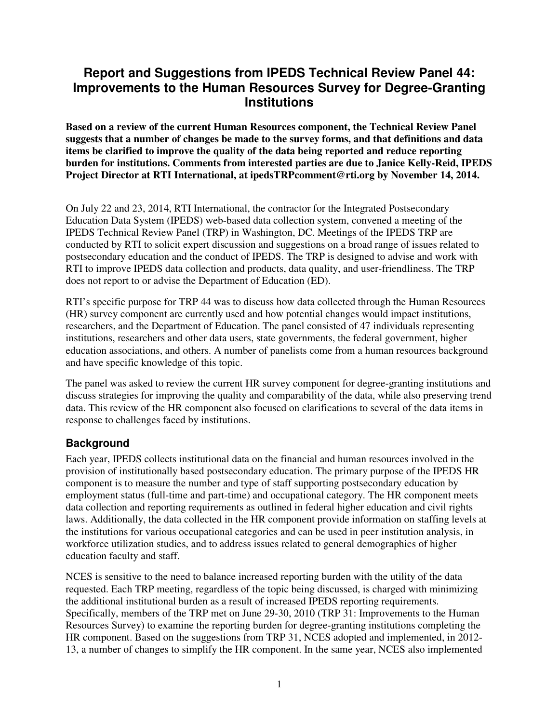# **Report and Suggestions from IPEDS Technical Review Panel 44: Improvements to the Human Resources Survey for Degree-Granting Institutions**

**Based on a review of the current Human Resources component, the Technical Review Panel suggests that a number of changes be made to the survey forms, and that definitions and data items be clarified to improve the quality of the data being reported and reduce reporting burden for institutions. Comments from interested parties are due to Janice Kelly-Reid, IPEDS Project Director at RTI International, at ipedsTRPcomment@rti.org by November 14, 2014.** 

On July 22 and 23, 2014, RTI International, the contractor for the Integrated Postsecondary Education Data System (IPEDS) web-based data collection system, convened a meeting of the IPEDS Technical Review Panel (TRP) in Washington, DC. Meetings of the IPEDS TRP are conducted by RTI to solicit expert discussion and suggestions on a broad range of issues related to postsecondary education and the conduct of IPEDS. The TRP is designed to advise and work with RTI to improve IPEDS data collection and products, data quality, and user-friendliness. The TRP does not report to or advise the Department of Education (ED).

RTI's specific purpose for TRP 44 was to discuss how data collected through the Human Resources (HR) survey component are currently used and how potential changes would impact institutions, researchers, and the Department of Education. The panel consisted of 47 individuals representing institutions, researchers and other data users, state governments, the federal government, higher education associations, and others. A number of panelists come from a human resources background and have specific knowledge of this topic.

The panel was asked to review the current HR survey component for degree-granting institutions and discuss strategies for improving the quality and comparability of the data, while also preserving trend data. This review of the HR component also focused on clarifications to several of the data items in response to challenges faced by institutions.

## **Background**

Each year, IPEDS collects institutional data on the financial and human resources involved in the provision of institutionally based postsecondary education. The primary purpose of the IPEDS HR component is to measure the number and type of staff supporting postsecondary education by employment status (full-time and part-time) and occupational category. The HR component meets data collection and reporting requirements as outlined in federal higher education and civil rights laws. Additionally, the data collected in the HR component provide information on staffing levels at the institutions for various occupational categories and can be used in peer institution analysis, in workforce utilization studies, and to address issues related to general demographics of higher education faculty and staff.

NCES is sensitive to the need to balance increased reporting burden with the utility of the data requested. Each TRP meeting, regardless of the topic being discussed, is charged with minimizing the additional institutional burden as a result of increased IPEDS reporting requirements. Specifically, members of the TRP met on June 29-30, 2010 (TRP 31: Improvements to the Human Resources Survey) to examine the reporting burden for degree-granting institutions completing the HR component. Based on the suggestions from TRP 31, NCES adopted and implemented, in 2012- 13, a number of changes to simplify the HR component. In the same year, NCES also implemented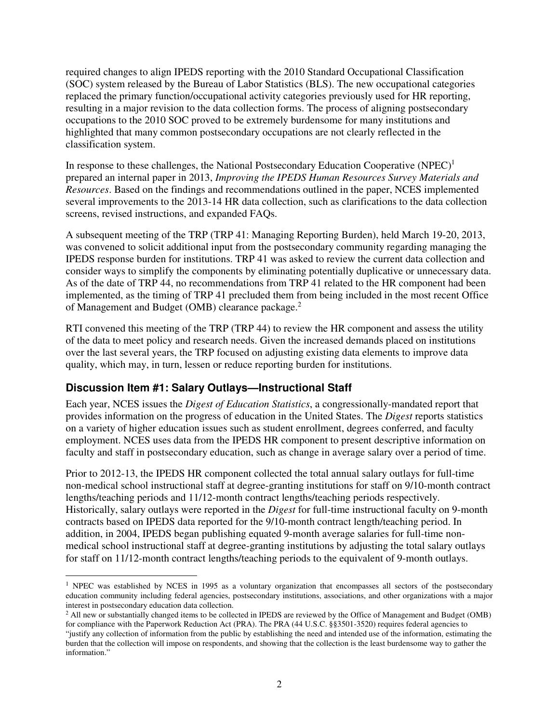required changes to align IPEDS reporting with the 2010 Standard Occupational Classification (SOC) system released by the Bureau of Labor Statistics (BLS). The new occupational categories replaced the primary function/occupational activity categories previously used for HR reporting, resulting in a major revision to the data collection forms. The process of aligning postsecondary occupations to the 2010 SOC proved to be extremely burdensome for many institutions and highlighted that many common postsecondary occupations are not clearly reflected in the classification system.

In response to these challenges, the National Postsecondary Education Cooperative  $(NPEC)^1$ prepared an internal paper in 2013, *Improving the IPEDS Human Resources Survey Materials and Resources*. Based on the findings and recommendations outlined in the paper, NCES implemented several improvements to the 2013-14 HR data collection, such as clarifications to the data collection screens, revised instructions, and expanded FAQs.

A subsequent meeting of the TRP (TRP 41: Managing Reporting Burden), held March 19-20, 2013, was convened to solicit additional input from the postsecondary community regarding managing the IPEDS response burden for institutions. TRP 41 was asked to review the current data collection and consider ways to simplify the components by eliminating potentially duplicative or unnecessary data. As of the date of TRP 44, no recommendations from TRP 41 related to the HR component had been implemented, as the timing of TRP 41 precluded them from being included in the most recent Office of Management and Budget (OMB) clearance package.<sup>2</sup>

RTI convened this meeting of the TRP (TRP 44) to review the HR component and assess the utility of the data to meet policy and research needs. Given the increased demands placed on institutions over the last several years, the TRP focused on adjusting existing data elements to improve data quality, which may, in turn, lessen or reduce reporting burden for institutions.

## **Discussion Item #1: Salary Outlays—Instructional Staff**

 $\ddot{\phantom{a}}$ 

Each year, NCES issues the *Digest of Education Statistics*, a congressionally-mandated report that provides information on the progress of education in the United States. The *Digest* reports statistics on a variety of higher education issues such as student enrollment, degrees conferred, and faculty employment. NCES uses data from the IPEDS HR component to present descriptive information on faculty and staff in postsecondary education, such as change in average salary over a period of time.

Prior to 2012-13, the IPEDS HR component collected the total annual salary outlays for full-time non-medical school instructional staff at degree-granting institutions for staff on 9/10-month contract lengths/teaching periods and 11/12-month contract lengths/teaching periods respectively. Historically, salary outlays were reported in the *Digest* for full-time instructional faculty on 9-month contracts based on IPEDS data reported for the 9/10-month contract length/teaching period. In addition, in 2004, IPEDS began publishing equated 9-month average salaries for full-time nonmedical school instructional staff at degree-granting institutions by adjusting the total salary outlays for staff on 11/12-month contract lengths/teaching periods to the equivalent of 9-month outlays.

<sup>&</sup>lt;sup>1</sup> NPEC was established by NCES in 1995 as a voluntary organization that encompasses all sectors of the postsecondary education community including federal agencies, postsecondary institutions, associations, and other organizations with a major interest in postsecondary education data collection.

<sup>&</sup>lt;sup>2</sup> All new or substantially changed items to be collected in IPEDS are reviewed by the Office of Management and Budget (OMB) for compliance with the Paperwork Reduction Act (PRA). The PRA (44 U.S.C. §§3501-3520) requires federal agencies to

<sup>&</sup>quot;justify any collection of information from the public by establishing the need and intended use of the information, estimating the burden that the collection will impose on respondents, and showing that the collection is the least burdensome way to gather the information."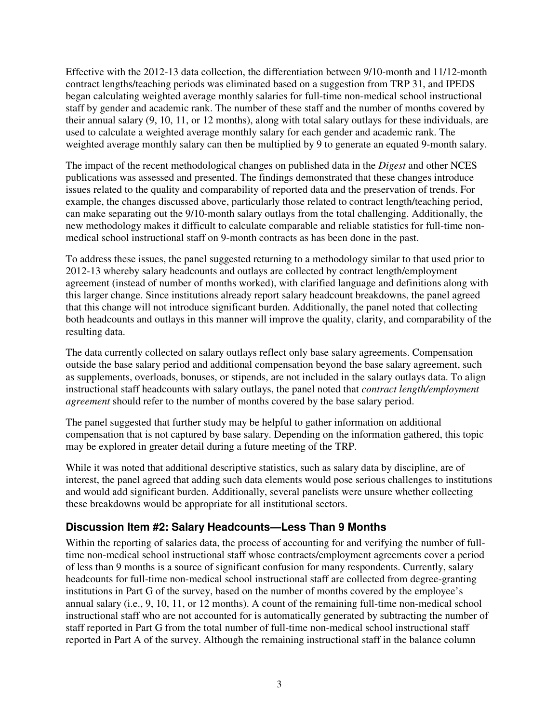Effective with the 2012-13 data collection, the differentiation between 9/10-month and 11/12-month contract lengths/teaching periods was eliminated based on a suggestion from TRP 31, and IPEDS began calculating weighted average monthly salaries for full-time non-medical school instructional staff by gender and academic rank. The number of these staff and the number of months covered by their annual salary (9, 10, 11, or 12 months), along with total salary outlays for these individuals, are used to calculate a weighted average monthly salary for each gender and academic rank. The weighted average monthly salary can then be multiplied by 9 to generate an equated 9-month salary.

The impact of the recent methodological changes on published data in the *Digest* and other NCES publications was assessed and presented. The findings demonstrated that these changes introduce issues related to the quality and comparability of reported data and the preservation of trends. For example, the changes discussed above, particularly those related to contract length/teaching period, can make separating out the 9/10-month salary outlays from the total challenging. Additionally, the new methodology makes it difficult to calculate comparable and reliable statistics for full-time nonmedical school instructional staff on 9-month contracts as has been done in the past.

To address these issues, the panel suggested returning to a methodology similar to that used prior to 2012-13 whereby salary headcounts and outlays are collected by contract length/employment agreement (instead of number of months worked), with clarified language and definitions along with this larger change. Since institutions already report salary headcount breakdowns, the panel agreed that this change will not introduce significant burden. Additionally, the panel noted that collecting both headcounts and outlays in this manner will improve the quality, clarity, and comparability of the resulting data.

The data currently collected on salary outlays reflect only base salary agreements. Compensation outside the base salary period and additional compensation beyond the base salary agreement, such as supplements, overloads, bonuses, or stipends, are not included in the salary outlays data. To align instructional staff headcounts with salary outlays, the panel noted that *contract length/employment agreement* should refer to the number of months covered by the base salary period.

The panel suggested that further study may be helpful to gather information on additional compensation that is not captured by base salary. Depending on the information gathered, this topic may be explored in greater detail during a future meeting of the TRP.

While it was noted that additional descriptive statistics, such as salary data by discipline, are of interest, the panel agreed that adding such data elements would pose serious challenges to institutions and would add significant burden. Additionally, several panelists were unsure whether collecting these breakdowns would be appropriate for all institutional sectors.

#### **Discussion Item #2: Salary Headcounts—Less Than 9 Months**

Within the reporting of salaries data, the process of accounting for and verifying the number of fulltime non-medical school instructional staff whose contracts/employment agreements cover a period of less than 9 months is a source of significant confusion for many respondents. Currently, salary headcounts for full-time non-medical school instructional staff are collected from degree-granting institutions in Part G of the survey, based on the number of months covered by the employee's annual salary (i.e., 9, 10, 11, or 12 months). A count of the remaining full-time non-medical school instructional staff who are not accounted for is automatically generated by subtracting the number of staff reported in Part G from the total number of full-time non-medical school instructional staff reported in Part A of the survey. Although the remaining instructional staff in the balance column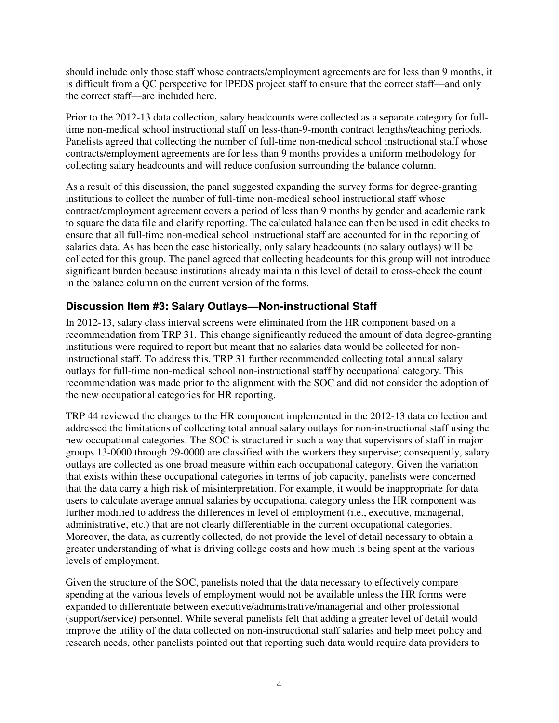should include only those staff whose contracts/employment agreements are for less than 9 months, it is difficult from a QC perspective for IPEDS project staff to ensure that the correct staff—and only the correct staff—are included here.

Prior to the 2012-13 data collection, salary headcounts were collected as a separate category for fulltime non-medical school instructional staff on less-than-9-month contract lengths/teaching periods. Panelists agreed that collecting the number of full-time non-medical school instructional staff whose contracts/employment agreements are for less than 9 months provides a uniform methodology for collecting salary headcounts and will reduce confusion surrounding the balance column.

As a result of this discussion, the panel suggested expanding the survey forms for degree-granting institutions to collect the number of full-time non-medical school instructional staff whose contract/employment agreement covers a period of less than 9 months by gender and academic rank to square the data file and clarify reporting. The calculated balance can then be used in edit checks to ensure that all full-time non-medical school instructional staff are accounted for in the reporting of salaries data. As has been the case historically, only salary headcounts (no salary outlays) will be collected for this group. The panel agreed that collecting headcounts for this group will not introduce significant burden because institutions already maintain this level of detail to cross-check the count in the balance column on the current version of the forms.

## **Discussion Item #3: Salary Outlays—Non-instructional Staff**

In 2012-13, salary class interval screens were eliminated from the HR component based on a recommendation from TRP 31. This change significantly reduced the amount of data degree-granting institutions were required to report but meant that no salaries data would be collected for noninstructional staff. To address this, TRP 31 further recommended collecting total annual salary outlays for full-time non-medical school non-instructional staff by occupational category. This recommendation was made prior to the alignment with the SOC and did not consider the adoption of the new occupational categories for HR reporting.

TRP 44 reviewed the changes to the HR component implemented in the 2012-13 data collection and addressed the limitations of collecting total annual salary outlays for non-instructional staff using the new occupational categories. The SOC is structured in such a way that supervisors of staff in major groups 13-0000 through 29-0000 are classified with the workers they supervise; consequently, salary outlays are collected as one broad measure within each occupational category. Given the variation that exists within these occupational categories in terms of job capacity, panelists were concerned that the data carry a high risk of misinterpretation. For example, it would be inappropriate for data users to calculate average annual salaries by occupational category unless the HR component was further modified to address the differences in level of employment (i.e., executive, managerial, administrative, etc.) that are not clearly differentiable in the current occupational categories. Moreover, the data, as currently collected, do not provide the level of detail necessary to obtain a greater understanding of what is driving college costs and how much is being spent at the various levels of employment.

Given the structure of the SOC, panelists noted that the data necessary to effectively compare spending at the various levels of employment would not be available unless the HR forms were expanded to differentiate between executive/administrative/managerial and other professional (support/service) personnel. While several panelists felt that adding a greater level of detail would improve the utility of the data collected on non-instructional staff salaries and help meet policy and research needs, other panelists pointed out that reporting such data would require data providers to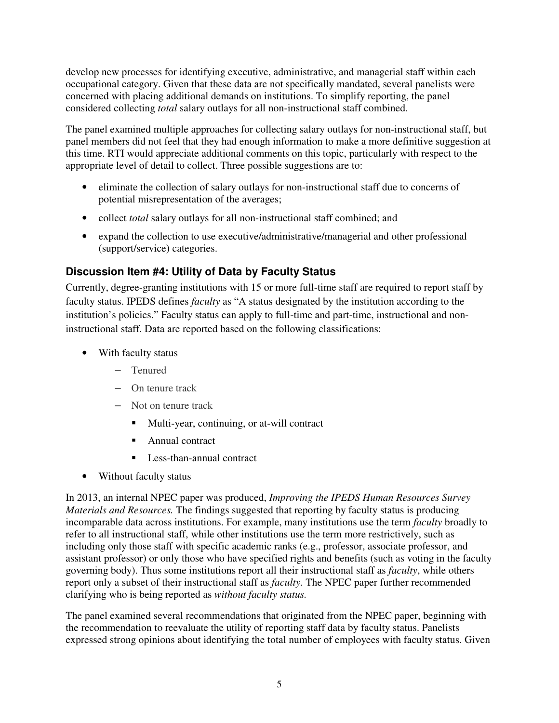develop new processes for identifying executive, administrative, and managerial staff within each occupational category. Given that these data are not specifically mandated, several panelists were concerned with placing additional demands on institutions. To simplify reporting, the panel considered collecting *total* salary outlays for all non-instructional staff combined.

The panel examined multiple approaches for collecting salary outlays for non-instructional staff, but panel members did not feel that they had enough information to make a more definitive suggestion at this time. RTI would appreciate additional comments on this topic, particularly with respect to the appropriate level of detail to collect. Three possible suggestions are to:

- eliminate the collection of salary outlays for non-instructional staff due to concerns of potential misrepresentation of the averages;
- collect *total* salary outlays for all non-instructional staff combined; and
- expand the collection to use executive/administrative/managerial and other professional (support/service) categories.

## **Discussion Item #4: Utility of Data by Faculty Status**

Currently, degree-granting institutions with 15 or more full-time staff are required to report staff by faculty status. IPEDS defines *faculty* as "A status designated by the institution according to the institution's policies." Faculty status can apply to full-time and part-time, instructional and noninstructional staff. Data are reported based on the following classifications:

- With faculty status
	- Tenured
	- On tenure track
	- Not on tenure track
		- Multi-year, continuing, or at-will contract
		- Annual contract
		- **Less-than-annual contract**
- Without faculty status

In 2013, an internal NPEC paper was produced, *Improving the IPEDS Human Resources Survey Materials and Resources.* The findings suggested that reporting by faculty status is producing incomparable data across institutions. For example, many institutions use the term *faculty* broadly to refer to all instructional staff, while other institutions use the term more restrictively, such as including only those staff with specific academic ranks (e.g., professor, associate professor, and assistant professor) or only those who have specified rights and benefits (such as voting in the faculty governing body). Thus some institutions report all their instructional staff as *faculty*, while others report only a subset of their instructional staff as *faculty.* The NPEC paper further recommended clarifying who is being reported as *without faculty status.* 

The panel examined several recommendations that originated from the NPEC paper, beginning with the recommendation to reevaluate the utility of reporting staff data by faculty status. Panelists expressed strong opinions about identifying the total number of employees with faculty status. Given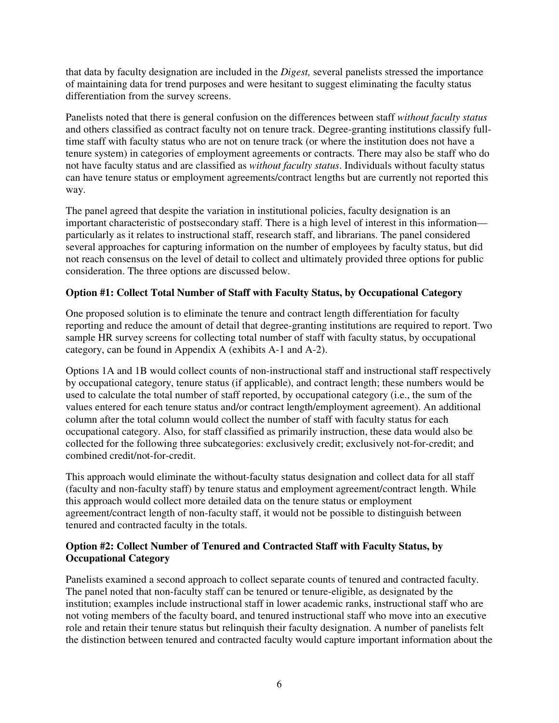that data by faculty designation are included in the *Digest,* several panelists stressed the importance of maintaining data for trend purposes and were hesitant to suggest eliminating the faculty status differentiation from the survey screens.

Panelists noted that there is general confusion on the differences between staff *without faculty status*  and others classified as contract faculty not on tenure track. Degree-granting institutions classify fulltime staff with faculty status who are not on tenure track (or where the institution does not have a tenure system) in categories of employment agreements or contracts. There may also be staff who do not have faculty status and are classified as *without faculty status*. Individuals without faculty status can have tenure status or employment agreements/contract lengths but are currently not reported this way.

The panel agreed that despite the variation in institutional policies, faculty designation is an important characteristic of postsecondary staff. There is a high level of interest in this information particularly as it relates to instructional staff, research staff, and librarians. The panel considered several approaches for capturing information on the number of employees by faculty status, but did not reach consensus on the level of detail to collect and ultimately provided three options for public consideration. The three options are discussed below.

#### **Option #1: Collect Total Number of Staff with Faculty Status, by Occupational Category**

One proposed solution is to eliminate the tenure and contract length differentiation for faculty reporting and reduce the amount of detail that degree-granting institutions are required to report. Two sample HR survey screens for collecting total number of staff with faculty status, by occupational category, can be found in Appendix A (exhibits A-1 and A-2).

Options 1A and 1B would collect counts of non-instructional staff and instructional staff respectively by occupational category, tenure status (if applicable), and contract length; these numbers would be used to calculate the total number of staff reported, by occupational category (i.e., the sum of the values entered for each tenure status and/or contract length/employment agreement). An additional column after the total column would collect the number of staff with faculty status for each occupational category. Also, for staff classified as primarily instruction, these data would also be collected for the following three subcategories: exclusively credit; exclusively not-for-credit; and combined credit/not-for-credit.

This approach would eliminate the without-faculty status designation and collect data for all staff (faculty and non-faculty staff) by tenure status and employment agreement/contract length. While this approach would collect more detailed data on the tenure status or employment agreement/contract length of non-faculty staff, it would not be possible to distinguish between tenured and contracted faculty in the totals.

#### **Option #2: Collect Number of Tenured and Contracted Staff with Faculty Status, by Occupational Category**

Panelists examined a second approach to collect separate counts of tenured and contracted faculty. The panel noted that non-faculty staff can be tenured or tenure-eligible, as designated by the institution; examples include instructional staff in lower academic ranks, instructional staff who are not voting members of the faculty board, and tenured instructional staff who move into an executive role and retain their tenure status but relinquish their faculty designation. A number of panelists felt the distinction between tenured and contracted faculty would capture important information about the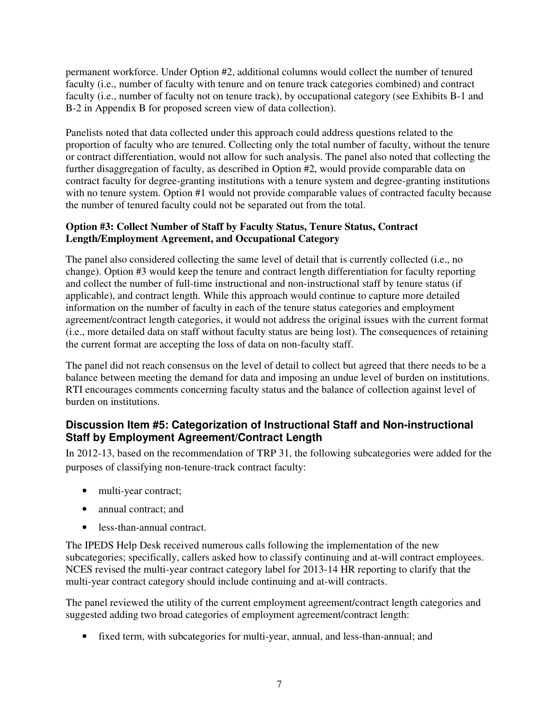permanent workforce. Under Option #2, additional columns would collect the number of tenured faculty (i.e., number of faculty with tenure and on tenure track categories combined) and contract faculty (i.e., number of faculty not on tenure track), by occupational category (see Exhibits B-1 and B-2 in Appendix B for proposed screen view of data collection).

Panelists noted that data collected under this approach could address questions related to the proportion of faculty who are tenured. Collecting only the total number of faculty, without the tenure or contract differentiation, would not allow for such analysis. The panel also noted that collecting the further disaggregation of faculty, as described in Option #2, would provide comparable data on contract faculty for degree-granting institutions with a tenure system and degree-granting institutions with no tenure system. Option #1 would not provide comparable values of contracted faculty because the number of tenured faculty could not be separated out from the total.

#### **Option #3: Collect Number of Staff by Faculty Status, Tenure Status, Contract Length/Employment Agreement, and Occupational Category**

The panel also considered collecting the same level of detail that is currently collected (i.e., no change). Option #3 would keep the tenure and contract length differentiation for faculty reporting and collect the number of full-time instructional and non-instructional staff by tenure status (if applicable), and contract length. While this approach would continue to capture more detailed information on the number of faculty in each of the tenure status categories and employment agreement/contract length categories, it would not address the original issues with the current format (i.e., more detailed data on staff without faculty status are being lost). The consequences of retaining the current format are accepting the loss of data on non-faculty staff.

The panel did not reach consensus on the level of detail to collect but agreed that there needs to be a balance between meeting the demand for data and imposing an undue level of burden on institutions. RTI encourages comments concerning faculty status and the balance of collection against level of burden on institutions.

## **Discussion Item #5: Categorization of Instructional Staff and Non-instructional Staff by Employment Agreement/Contract Length**

In 2012-13, based on the recommendation of TRP 31, the following subcategories were added for the purposes of classifying non-tenure-track contract faculty:

- multi-year contract;
- annual contract: and
- less-than-annual contract.

The IPEDS Help Desk received numerous calls following the implementation of the new subcategories; specifically, callers asked how to classify continuing and at-will contract employees. NCES revised the multi-year contract category label for 2013-14 HR reporting to clarify that the multi-year contract category should include continuing and at-will contracts.

The panel reviewed the utility of the current employment agreement/contract length categories and suggested adding two broad categories of employment agreement/contract length:

• fixed term, with subcategories for multi-year, annual, and less-than-annual; and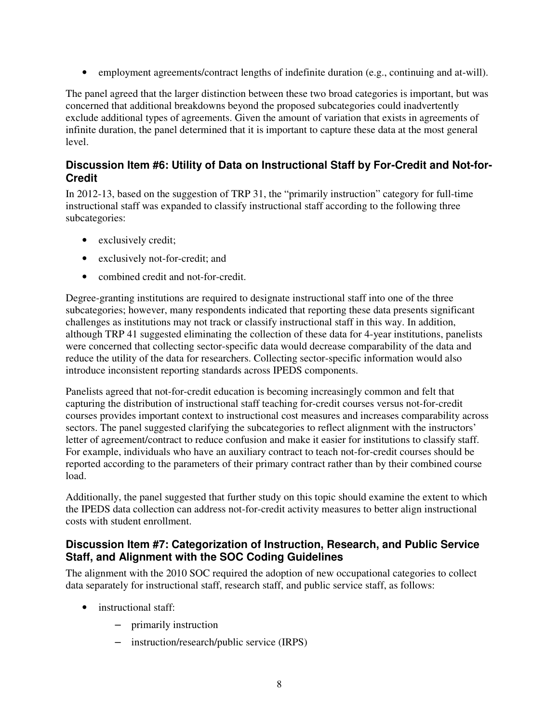• employment agreements/contract lengths of indefinite duration (e.g., continuing and at-will).

The panel agreed that the larger distinction between these two broad categories is important, but was concerned that additional breakdowns beyond the proposed subcategories could inadvertently exclude additional types of agreements. Given the amount of variation that exists in agreements of infinite duration, the panel determined that it is important to capture these data at the most general level.

#### **Discussion Item #6: Utility of Data on Instructional Staff by For-Credit and Not-for-Credit**

In 2012-13, based on the suggestion of TRP 31, the "primarily instruction" category for full-time instructional staff was expanded to classify instructional staff according to the following three subcategories:

- exclusively credit;
- exclusively not-for-credit; and
- combined credit and not-for-credit.

Degree-granting institutions are required to designate instructional staff into one of the three subcategories; however, many respondents indicated that reporting these data presents significant challenges as institutions may not track or classify instructional staff in this way. In addition, although TRP 41 suggested eliminating the collection of these data for 4-year institutions, panelists were concerned that collecting sector-specific data would decrease comparability of the data and reduce the utility of the data for researchers. Collecting sector-specific information would also introduce inconsistent reporting standards across IPEDS components.

Panelists agreed that not-for-credit education is becoming increasingly common and felt that capturing the distribution of instructional staff teaching for-credit courses versus not-for-credit courses provides important context to instructional cost measures and increases comparability across sectors. The panel suggested clarifying the subcategories to reflect alignment with the instructors' letter of agreement/contract to reduce confusion and make it easier for institutions to classify staff. For example, individuals who have an auxiliary contract to teach not-for-credit courses should be reported according to the parameters of their primary contract rather than by their combined course load.

Additionally, the panel suggested that further study on this topic should examine the extent to which the IPEDS data collection can address not-for-credit activity measures to better align instructional costs with student enrollment.

#### **Discussion Item #7: Categorization of Instruction, Research, and Public Service Staff, and Alignment with the SOC Coding Guidelines**

The alignment with the 2010 SOC required the adoption of new occupational categories to collect data separately for instructional staff, research staff, and public service staff, as follows:

- instructional staff:
	- primarily instruction
	- instruction/research/public service (IRPS)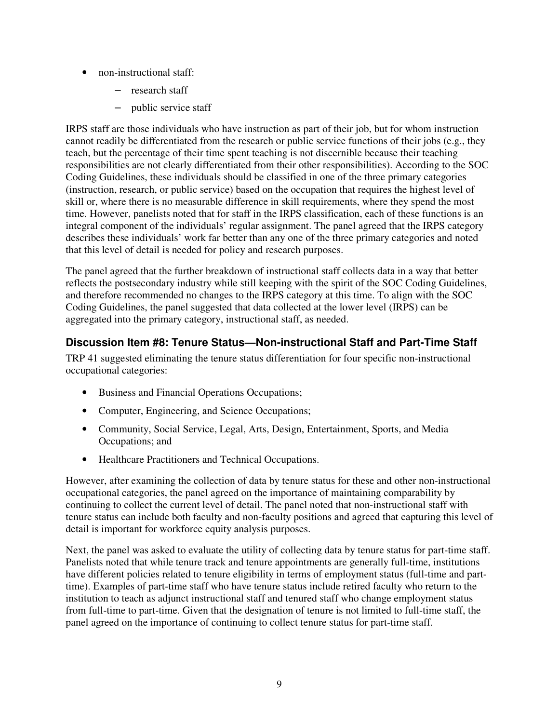- non-instructional staff:
	- research staff
	- public service staff

IRPS staff are those individuals who have instruction as part of their job, but for whom instruction cannot readily be differentiated from the research or public service functions of their jobs (e.g., they teach, but the percentage of their time spent teaching is not discernible because their teaching responsibilities are not clearly differentiated from their other responsibilities). According to the SOC Coding Guidelines, these individuals should be classified in one of the three primary categories (instruction, research, or public service) based on the occupation that requires the highest level of skill or, where there is no measurable difference in skill requirements, where they spend the most time. However, panelists noted that for staff in the IRPS classification, each of these functions is an integral component of the individuals' regular assignment. The panel agreed that the IRPS category describes these individuals' work far better than any one of the three primary categories and noted that this level of detail is needed for policy and research purposes.

The panel agreed that the further breakdown of instructional staff collects data in a way that better reflects the postsecondary industry while still keeping with the spirit of the SOC Coding Guidelines, and therefore recommended no changes to the IRPS category at this time. To align with the SOC Coding Guidelines, the panel suggested that data collected at the lower level (IRPS) can be aggregated into the primary category, instructional staff, as needed.

## **Discussion Item #8: Tenure Status—Non-instructional Staff and Part-Time Staff**

TRP 41 suggested eliminating the tenure status differentiation for four specific non-instructional occupational categories:

- Business and Financial Operations Occupations;
- Computer, Engineering, and Science Occupations;
- Community, Social Service, Legal, Arts, Design, Entertainment, Sports, and Media Occupations; and
- Healthcare Practitioners and Technical Occupations.

However, after examining the collection of data by tenure status for these and other non-instructional occupational categories, the panel agreed on the importance of maintaining comparability by continuing to collect the current level of detail. The panel noted that non-instructional staff with tenure status can include both faculty and non-faculty positions and agreed that capturing this level of detail is important for workforce equity analysis purposes.

Next, the panel was asked to evaluate the utility of collecting data by tenure status for part-time staff. Panelists noted that while tenure track and tenure appointments are generally full-time, institutions have different policies related to tenure eligibility in terms of employment status (full-time and parttime). Examples of part-time staff who have tenure status include retired faculty who return to the institution to teach as adjunct instructional staff and tenured staff who change employment status from full-time to part-time. Given that the designation of tenure is not limited to full-time staff, the panel agreed on the importance of continuing to collect tenure status for part-time staff.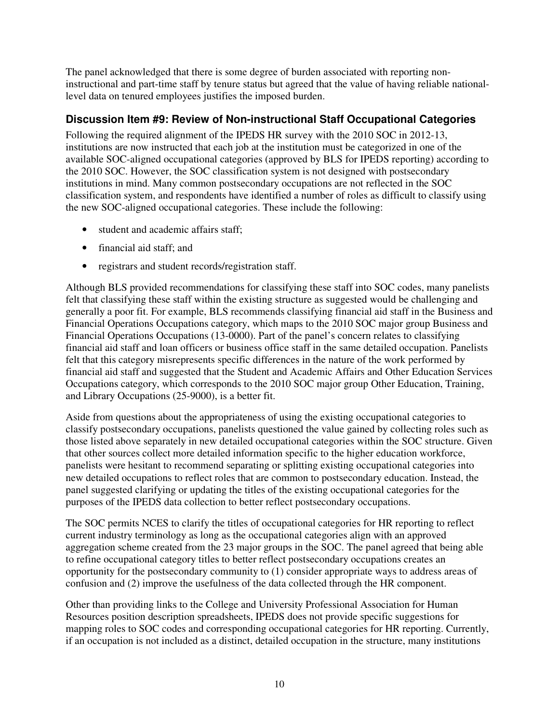The panel acknowledged that there is some degree of burden associated with reporting noninstructional and part-time staff by tenure status but agreed that the value of having reliable nationallevel data on tenured employees justifies the imposed burden.

#### **Discussion Item #9: Review of Non-instructional Staff Occupational Categories**

Following the required alignment of the IPEDS HR survey with the 2010 SOC in 2012-13, institutions are now instructed that each job at the institution must be categorized in one of the available SOC-aligned occupational categories (approved by BLS for IPEDS reporting) according to the 2010 SOC. However, the SOC classification system is not designed with postsecondary institutions in mind. Many common postsecondary occupations are not reflected in the SOC classification system, and respondents have identified a number of roles as difficult to classify using the new SOC-aligned occupational categories. These include the following:

- student and academic affairs staff:
- financial aid staff; and
- registrars and student records/registration staff.

Although BLS provided recommendations for classifying these staff into SOC codes, many panelists felt that classifying these staff within the existing structure as suggested would be challenging and generally a poor fit. For example, BLS recommends classifying financial aid staff in the Business and Financial Operations Occupations category, which maps to the 2010 SOC major group Business and Financial Operations Occupations (13-0000). Part of the panel's concern relates to classifying financial aid staff and loan officers or business office staff in the same detailed occupation. Panelists felt that this category misrepresents specific differences in the nature of the work performed by financial aid staff and suggested that the Student and Academic Affairs and Other Education Services Occupations category, which corresponds to the 2010 SOC major group Other Education, Training, and Library Occupations (25-9000), is a better fit.

Aside from questions about the appropriateness of using the existing occupational categories to classify postsecondary occupations, panelists questioned the value gained by collecting roles such as those listed above separately in new detailed occupational categories within the SOC structure. Given that other sources collect more detailed information specific to the higher education workforce, panelists were hesitant to recommend separating or splitting existing occupational categories into new detailed occupations to reflect roles that are common to postsecondary education. Instead, the panel suggested clarifying or updating the titles of the existing occupational categories for the purposes of the IPEDS data collection to better reflect postsecondary occupations.

The SOC permits NCES to clarify the titles of occupational categories for HR reporting to reflect current industry terminology as long as the occupational categories align with an approved aggregation scheme created from the 23 major groups in the SOC. The panel agreed that being able to refine occupational category titles to better reflect postsecondary occupations creates an opportunity for the postsecondary community to (1) consider appropriate ways to address areas of confusion and (2) improve the usefulness of the data collected through the HR component.

Other than providing links to the College and University Professional Association for Human Resources position description spreadsheets, IPEDS does not provide specific suggestions for mapping roles to SOC codes and corresponding occupational categories for HR reporting. Currently, if an occupation is not included as a distinct, detailed occupation in the structure, many institutions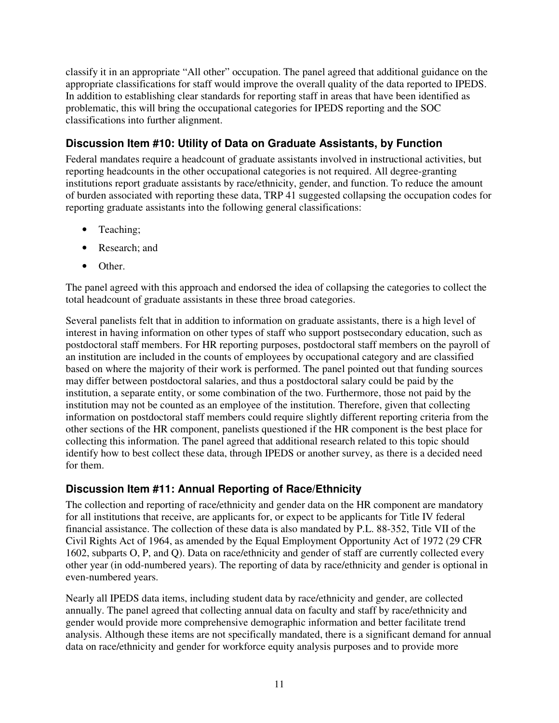classify it in an appropriate "All other" occupation. The panel agreed that additional guidance on the appropriate classifications for staff would improve the overall quality of the data reported to IPEDS. In addition to establishing clear standards for reporting staff in areas that have been identified as problematic, this will bring the occupational categories for IPEDS reporting and the SOC classifications into further alignment.

## **Discussion Item #10: Utility of Data on Graduate Assistants, by Function**

Federal mandates require a headcount of graduate assistants involved in instructional activities, but reporting headcounts in the other occupational categories is not required. All degree-granting institutions report graduate assistants by race/ethnicity, gender, and function. To reduce the amount of burden associated with reporting these data, TRP 41 suggested collapsing the occupation codes for reporting graduate assistants into the following general classifications:

- Teaching;
- Research: and
- Other.

The panel agreed with this approach and endorsed the idea of collapsing the categories to collect the total headcount of graduate assistants in these three broad categories.

Several panelists felt that in addition to information on graduate assistants, there is a high level of interest in having information on other types of staff who support postsecondary education, such as postdoctoral staff members. For HR reporting purposes, postdoctoral staff members on the payroll of an institution are included in the counts of employees by occupational category and are classified based on where the majority of their work is performed. The panel pointed out that funding sources may differ between postdoctoral salaries, and thus a postdoctoral salary could be paid by the institution, a separate entity, or some combination of the two. Furthermore, those not paid by the institution may not be counted as an employee of the institution. Therefore, given that collecting information on postdoctoral staff members could require slightly different reporting criteria from the other sections of the HR component, panelists questioned if the HR component is the best place for collecting this information. The panel agreed that additional research related to this topic should identify how to best collect these data, through IPEDS or another survey, as there is a decided need for them.

## **Discussion Item #11: Annual Reporting of Race/Ethnicity**

The collection and reporting of race/ethnicity and gender data on the HR component are mandatory for all institutions that receive, are applicants for, or expect to be applicants for Title IV federal financial assistance. The collection of these data is also mandated by P.L. 88-352, Title VII of the Civil Rights Act of 1964, as amended by the Equal Employment Opportunity Act of 1972 (29 CFR 1602, subparts O, P, and Q). Data on race/ethnicity and gender of staff are currently collected every other year (in odd-numbered years). The reporting of data by race/ethnicity and gender is optional in even-numbered years.

Nearly all IPEDS data items, including student data by race/ethnicity and gender, are collected annually. The panel agreed that collecting annual data on faculty and staff by race/ethnicity and gender would provide more comprehensive demographic information and better facilitate trend analysis. Although these items are not specifically mandated, there is a significant demand for annual data on race/ethnicity and gender for workforce equity analysis purposes and to provide more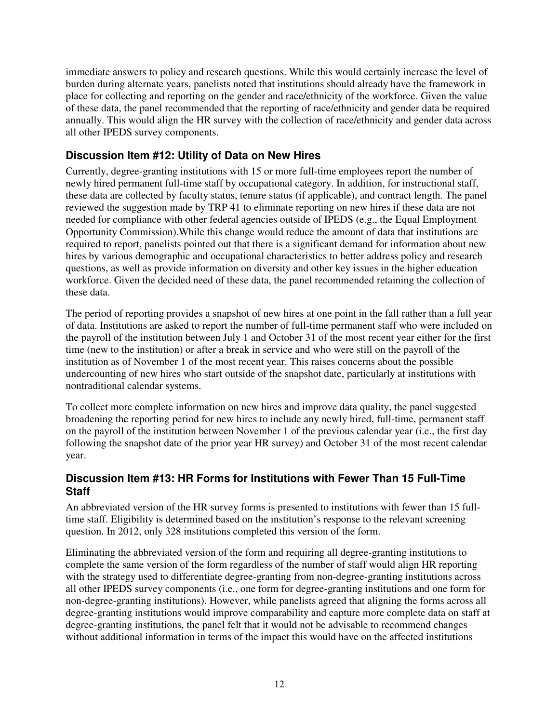immediate answers to policy and research questions. While this would certainly increase the level of burden during alternate years, panelists noted that institutions should already have the framework in place for collecting and reporting on the gender and race/ethnicity of the workforce. Given the value of these data, the panel recommended that the reporting of race/ethnicity and gender data be required annually. This would align the HR survey with the collection of race/ethnicity and gender data across all other IPEDS survey components.

## **Discussion Item #12: Utility of Data on New Hires**

Currently, degree-granting institutions with 15 or more full-time employees report the number of newly hired permanent full-time staff by occupational category. In addition, for instructional staff, these data are collected by faculty status, tenure status (if applicable), and contract length. The panel reviewed the suggestion made by TRP 41 to eliminate reporting on new hires if these data are not needed for compliance with other federal agencies outside of IPEDS (e.g., the Equal Employment Opportunity Commission).While this change would reduce the amount of data that institutions are required to report, panelists pointed out that there is a significant demand for information about new hires by various demographic and occupational characteristics to better address policy and research questions, as well as provide information on diversity and other key issues in the higher education workforce. Given the decided need of these data, the panel recommended retaining the collection of these data.

The period of reporting provides a snapshot of new hires at one point in the fall rather than a full year of data. Institutions are asked to report the number of full-time permanent staff who were included on the payroll of the institution between July 1 and October 31 of the most recent year either for the first time (new to the institution) or after a break in service and who were still on the payroll of the institution as of November 1 of the most recent year. This raises concerns about the possible undercounting of new hires who start outside of the snapshot date, particularly at institutions with nontraditional calendar systems.

To collect more complete information on new hires and improve data quality, the panel suggested broadening the reporting period for new hires to include any newly hired, full-time, permanent staff on the payroll of the institution between November 1 of the previous calendar year (i.e., the first day following the snapshot date of the prior year HR survey) and October 31 of the most recent calendar year.

## **Discussion Item #13: HR Forms for Institutions with Fewer Than 15 Full-Time Staff**

An abbreviated version of the HR survey forms is presented to institutions with fewer than 15 fulltime staff. Eligibility is determined based on the institution's response to the relevant screening question. In 2012, only 328 institutions completed this version of the form.

Eliminating the abbreviated version of the form and requiring all degree-granting institutions to complete the same version of the form regardless of the number of staff would align HR reporting with the strategy used to differentiate degree-granting from non-degree-granting institutions across all other IPEDS survey components (i.e., one form for degree-granting institutions and one form for non-degree-granting institutions). However, while panelists agreed that aligning the forms across all degree-granting institutions would improve comparability and capture more complete data on staff at degree-granting institutions, the panel felt that it would not be advisable to recommend changes without additional information in terms of the impact this would have on the affected institutions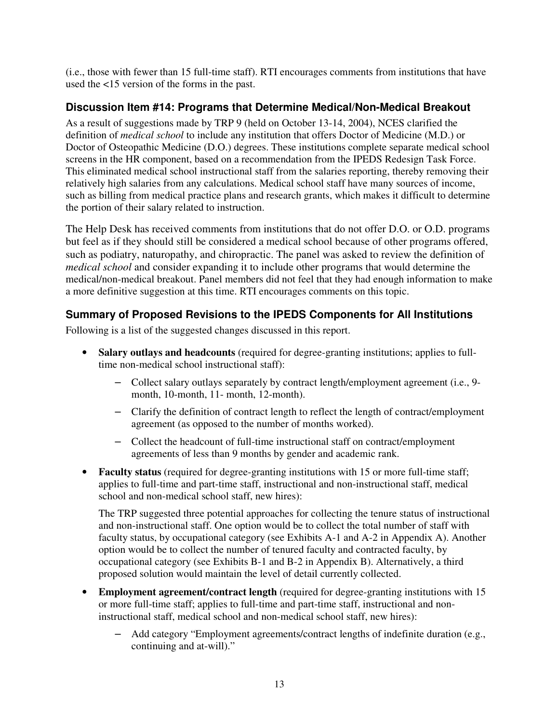(i.e., those with fewer than 15 full-time staff). RTI encourages comments from institutions that have used the <15 version of the forms in the past.

## **Discussion Item #14: Programs that Determine Medical/Non-Medical Breakout**

As a result of suggestions made by TRP 9 (held on October 13-14, 2004), NCES clarified the definition of *medical school* to include any institution that offers Doctor of Medicine (M.D.) or Doctor of Osteopathic Medicine (D.O.) degrees. These institutions complete separate medical school screens in the HR component, based on a recommendation from the IPEDS Redesign Task Force. This eliminated medical school instructional staff from the salaries reporting, thereby removing their relatively high salaries from any calculations. Medical school staff have many sources of income, such as billing from medical practice plans and research grants, which makes it difficult to determine the portion of their salary related to instruction.

The Help Desk has received comments from institutions that do not offer D.O. or O.D. programs but feel as if they should still be considered a medical school because of other programs offered, such as podiatry, naturopathy, and chiropractic. The panel was asked to review the definition of *medical school* and consider expanding it to include other programs that would determine the medical/non-medical breakout. Panel members did not feel that they had enough information to make a more definitive suggestion at this time. RTI encourages comments on this topic.

# **Summary of Proposed Revisions to the IPEDS Components for All Institutions**

Following is a list of the suggested changes discussed in this report.

- **Salary outlays and headcounts** (required for degree-granting institutions; applies to fulltime non-medical school instructional staff):
	- Collect salary outlays separately by contract length/employment agreement (i.e., 9 month, 10-month, 11- month, 12-month).
	- Clarify the definition of contract length to reflect the length of contract/employment agreement (as opposed to the number of months worked).
	- Collect the headcount of full-time instructional staff on contract/employment agreements of less than 9 months by gender and academic rank.
- **Faculty status** (required for degree-granting institutions with 15 or more full-time staff; applies to full-time and part-time staff, instructional and non-instructional staff, medical school and non-medical school staff, new hires):

The TRP suggested three potential approaches for collecting the tenure status of instructional and non-instructional staff. One option would be to collect the total number of staff with faculty status, by occupational category (see Exhibits A-1 and A-2 in Appendix A). Another option would be to collect the number of tenured faculty and contracted faculty, by occupational category (see Exhibits B-1 and B-2 in Appendix B). Alternatively, a third proposed solution would maintain the level of detail currently collected.

- **Employment agreement/contract length** (required for degree-granting institutions with 15 or more full-time staff; applies to full-time and part-time staff, instructional and noninstructional staff, medical school and non-medical school staff, new hires):
	- Add category "Employment agreements/contract lengths of indefinite duration (e.g., continuing and at-will)."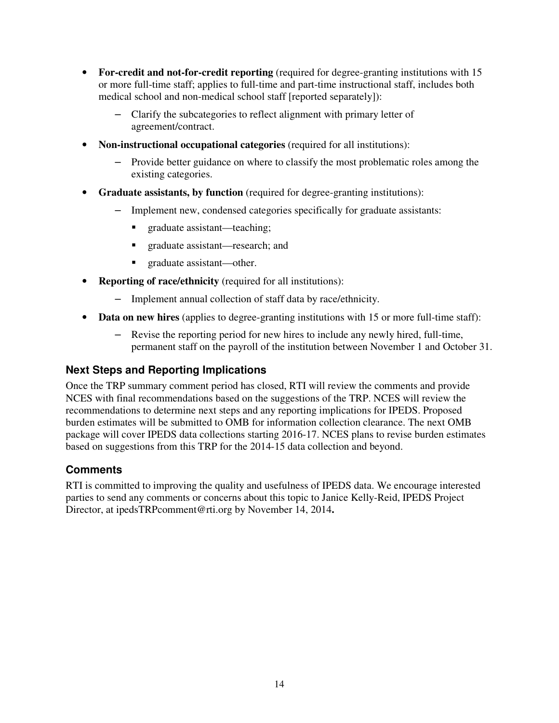- For-credit and not-for-credit reporting (required for degree-granting institutions with 15 or more full-time staff; applies to full-time and part-time instructional staff, includes both medical school and non-medical school staff [reported separately]):
	- Clarify the subcategories to reflect alignment with primary letter of agreement/contract.
- **Non-instructional occupational categories** (required for all institutions):
	- Provide better guidance on where to classify the most problematic roles among the existing categories.
- **Graduate assistants, by function** (required for degree-granting institutions):
	- Implement new, condensed categories specifically for graduate assistants:
		- graduate assistant—teaching;
		- graduate assistant—research; and
		- graduate assistant—other.
- **Reporting of race/ethnicity** (required for all institutions):
	- Implement annual collection of staff data by race/ethnicity.
- **Data on new hires** (applies to degree-granting institutions with 15 or more full-time staff):
	- Revise the reporting period for new hires to include any newly hired, full-time, permanent staff on the payroll of the institution between November 1 and October 31.

## **Next Steps and Reporting Implications**

Once the TRP summary comment period has closed, RTI will review the comments and provide NCES with final recommendations based on the suggestions of the TRP. NCES will review the recommendations to determine next steps and any reporting implications for IPEDS. Proposed burden estimates will be submitted to OMB for information collection clearance. The next OMB package will cover IPEDS data collections starting 2016-17. NCES plans to revise burden estimates based on suggestions from this TRP for the 2014-15 data collection and beyond.

#### **Comments**

RTI is committed to improving the quality and usefulness of IPEDS data. We encourage interested parties to send any comments or concerns about this topic to Janice Kelly-Reid, IPEDS Project Director, at ipedsTRPcomment@rti.org by November 14, 2014**.**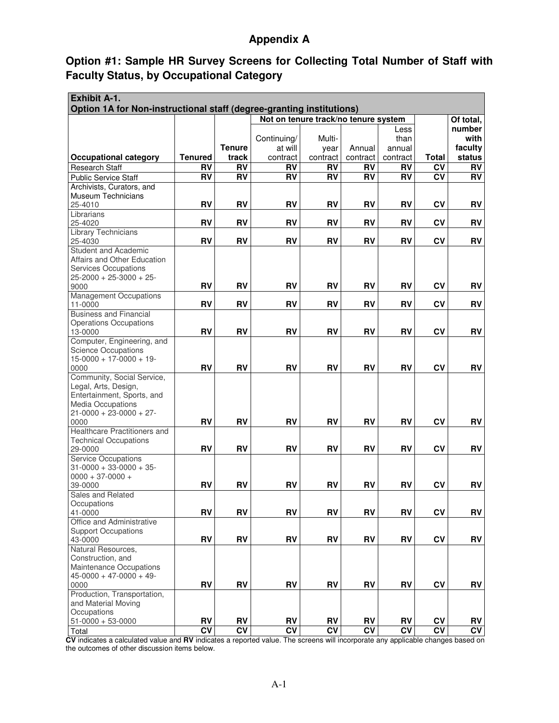## **Appendix A**

## **Option #1: Sample HR Survey Screens for Collecting Total Number of Staff with Faculty Status, by Occupational Category**

| <b>Exhibit A-1.</b>                                                                                                       |                          |                 |                 |                 |                 |                          |                        |                        |  |  |  |
|---------------------------------------------------------------------------------------------------------------------------|--------------------------|-----------------|-----------------|-----------------|-----------------|--------------------------|------------------------|------------------------|--|--|--|
| Option 1A for Non-instructional staff (degree-granting institutions)<br>Not on tenure track/no tenure system<br>Of total, |                          |                 |                 |                 |                 |                          |                        |                        |  |  |  |
|                                                                                                                           |                          |                 |                 |                 |                 | Less                     |                        | number                 |  |  |  |
|                                                                                                                           |                          |                 | Continuing/     | Multi-          |                 | than                     |                        | with                   |  |  |  |
|                                                                                                                           |                          | <b>Tenure</b>   | at will         | year            | Annual          | annual                   |                        | faculty                |  |  |  |
| <b>Occupational category</b>                                                                                              | <b>Tenured</b>           | track           | contract        | contract        | contract        | contract                 | <b>Total</b>           | status                 |  |  |  |
| <b>Research Staff</b>                                                                                                     | <b>RV</b>                | <b>RV</b>       | <b>RV</b>       | <b>RV</b>       | <b>RV</b>       | <b>RV</b>                | $\overline{\text{cv}}$ | <b>RV</b>              |  |  |  |
| <b>Public Service Staff</b>                                                                                               | <b>RV</b>                | RV              | <b>RV</b>       | <b>RV</b>       | RV              | <b>RV</b>                | <b>CV</b>              | <b>RV</b>              |  |  |  |
| Archivists, Curators, and                                                                                                 |                          |                 |                 |                 |                 |                          |                        |                        |  |  |  |
| <b>Museum Technicians</b>                                                                                                 |                          |                 |                 |                 |                 |                          |                        |                        |  |  |  |
| 25-4010                                                                                                                   | RV                       | <b>RV</b>       | <b>RV</b>       | RV              | RV              | RV                       | <b>CV</b>              | <b>RV</b>              |  |  |  |
| Librarians                                                                                                                | <b>RV</b>                | <b>RV</b>       | <b>RV</b>       | RV              | <b>RV</b>       | <b>RV</b>                | CV                     | <b>RV</b>              |  |  |  |
| 25-4020<br><b>Library Technicians</b>                                                                                     |                          |                 |                 |                 |                 |                          |                        |                        |  |  |  |
| 25-4030                                                                                                                   | <b>RV</b>                | <b>RV</b>       | RV              | RV              | <b>RV</b>       | <b>RV</b>                | CV                     | RV                     |  |  |  |
| <b>Student and Academic</b>                                                                                               |                          |                 |                 |                 |                 |                          |                        |                        |  |  |  |
| Affairs and Other Education                                                                                               |                          |                 |                 |                 |                 |                          |                        |                        |  |  |  |
| <b>Services Occupations</b>                                                                                               |                          |                 |                 |                 |                 |                          |                        |                        |  |  |  |
| $25 - 2000 + 25 - 3000 + 25$                                                                                              |                          |                 |                 |                 |                 |                          |                        |                        |  |  |  |
| 9000                                                                                                                      | RV                       | <b>RV</b>       | <b>RV</b>       | <b>RV</b>       | <b>RV</b>       | <b>RV</b>                | CV                     | <b>RV</b>              |  |  |  |
| <b>Management Occupations</b><br>11-0000                                                                                  | <b>RV</b>                | <b>RV</b>       | <b>RV</b>       | RV              | <b>RV</b>       | <b>RV</b>                | CV                     | <b>RV</b>              |  |  |  |
| <b>Business and Financial</b>                                                                                             |                          |                 |                 |                 |                 |                          |                        |                        |  |  |  |
| <b>Operations Occupations</b>                                                                                             |                          |                 |                 |                 |                 |                          |                        |                        |  |  |  |
| 13-0000                                                                                                                   | <b>RV</b>                | <b>RV</b>       | <b>RV</b>       | RV              | <b>RV</b>       | <b>RV</b>                | <b>CV</b>              | <b>RV</b>              |  |  |  |
| Computer, Engineering, and                                                                                                |                          |                 |                 |                 |                 |                          |                        |                        |  |  |  |
| <b>Science Occupations</b>                                                                                                |                          |                 |                 |                 |                 |                          |                        |                        |  |  |  |
| $15-0000 + 17-0000 + 19$                                                                                                  |                          |                 |                 |                 |                 |                          |                        |                        |  |  |  |
| 0000                                                                                                                      | <b>RV</b>                | <b>RV</b>       | <b>RV</b>       | <b>RV</b>       | <b>RV</b>       | <b>RV</b>                | CV                     | <b>RV</b>              |  |  |  |
| Community, Social Service,                                                                                                |                          |                 |                 |                 |                 |                          |                        |                        |  |  |  |
| Legal, Arts, Design,<br>Entertainment, Sports, and                                                                        |                          |                 |                 |                 |                 |                          |                        |                        |  |  |  |
| <b>Media Occupations</b>                                                                                                  |                          |                 |                 |                 |                 |                          |                        |                        |  |  |  |
| $21 - 0000 + 23 - 0000 + 27$                                                                                              |                          |                 |                 |                 |                 |                          |                        |                        |  |  |  |
| 0000                                                                                                                      | <b>RV</b>                | <b>RV</b>       | <b>RV</b>       | RV              | <b>RV</b>       | <b>RV</b>                | CV                     | <b>RV</b>              |  |  |  |
| Healthcare Practitioners and                                                                                              |                          |                 |                 |                 |                 |                          |                        |                        |  |  |  |
| <b>Technical Occupations</b>                                                                                              |                          |                 |                 |                 |                 |                          |                        |                        |  |  |  |
| 29-0000                                                                                                                   | RV                       | <b>RV</b>       | <b>RV</b>       | <b>RV</b>       | <b>RV</b>       | <b>RV</b>                | <b>CV</b>              | <b>RV</b>              |  |  |  |
| <b>Service Occupations</b>                                                                                                |                          |                 |                 |                 |                 |                          |                        |                        |  |  |  |
| $31 - 0000 + 33 - 0000 + 35$                                                                                              |                          |                 |                 |                 |                 |                          |                        |                        |  |  |  |
| $0000 + 37 - 0000 +$<br>39-0000                                                                                           | <b>RV</b>                | <b>RV</b>       | <b>RV</b>       | <b>RV</b>       | <b>RV</b>       | <b>RV</b>                | CV                     | <b>RV</b>              |  |  |  |
| Sales and Related                                                                                                         |                          |                 |                 |                 |                 |                          |                        |                        |  |  |  |
| Occupations                                                                                                               |                          |                 |                 |                 |                 |                          |                        |                        |  |  |  |
| 41-0000                                                                                                                   | <b>RV</b>                | <b>RV</b>       | <b>RV</b>       | <b>RV</b>       | <b>RV</b>       | <b>RV</b>                | CV                     | <b>RV</b>              |  |  |  |
| Office and Administrative                                                                                                 |                          |                 |                 |                 |                 |                          |                        |                        |  |  |  |
| <b>Support Occupations</b>                                                                                                |                          |                 |                 |                 |                 |                          |                        |                        |  |  |  |
| 43-0000                                                                                                                   | RV                       | <b>RV</b>       | <b>RV</b>       | <b>RV</b>       | <b>RV</b>       | <b>RV</b>                | CV                     | RV                     |  |  |  |
| Natural Resources,                                                                                                        |                          |                 |                 |                 |                 |                          |                        |                        |  |  |  |
| Construction, and                                                                                                         |                          |                 |                 |                 |                 |                          |                        |                        |  |  |  |
| Maintenance Occupations<br>$45 - 0000 + 47 - 0000 + 49$                                                                   |                          |                 |                 |                 |                 |                          |                        |                        |  |  |  |
| 0000                                                                                                                      | RV                       | <b>RV</b>       | <b>RV</b>       | <b>RV</b>       | <b>RV</b>       | RV                       | CV                     | RV                     |  |  |  |
| Production, Transportation,                                                                                               |                          |                 |                 |                 |                 |                          |                        |                        |  |  |  |
| and Material Moving                                                                                                       |                          |                 |                 |                 |                 |                          |                        |                        |  |  |  |
| Occupations                                                                                                               |                          |                 |                 |                 |                 |                          |                        |                        |  |  |  |
| $51-0000 + 53-0000$                                                                                                       | RV                       | RV              | RV              | RV              | RV              | RV                       | <b>CV</b>              | RV                     |  |  |  |
| Total                                                                                                                     | $\overline{\mathsf{cv}}$ | $\overline{CV}$ | $\overline{cv}$ | $\overline{CV}$ | $\overline{cv}$ | $\overline{\mathsf{cv}}$ | $\overline{\text{cv}}$ | $\overline{\text{cv}}$ |  |  |  |

**CV** indicates a calculated value and **RV** indicates a reported value. The screens will incorporate any applicable changes based on the outcomes of other discussion items below.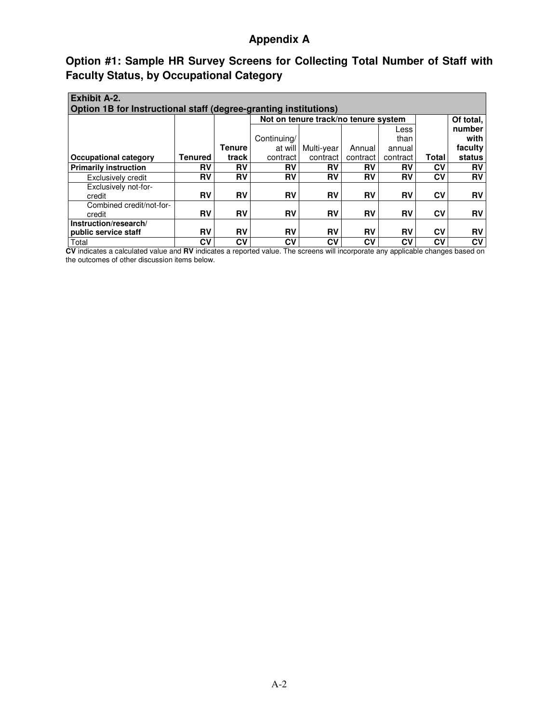## **Appendix A**

# **Option #1: Sample HR Survey Screens for Collecting Total Number of Staff with Faculty Status, by Occupational Category**

| <b>Exhibit A-2.</b><br>Option 1B for Instructional staff (degree-granting institutions) |                |               |             |                                      |           |          |       |           |  |  |
|-----------------------------------------------------------------------------------------|----------------|---------------|-------------|--------------------------------------|-----------|----------|-------|-----------|--|--|
|                                                                                         |                |               |             | Not on tenure track/no tenure system |           |          |       | Of total, |  |  |
|                                                                                         |                |               |             |                                      |           | Less     |       | number    |  |  |
|                                                                                         |                |               | Continuing/ |                                      |           | than     |       | with      |  |  |
|                                                                                         |                | <b>Tenure</b> | at will     | Multi-year                           | Annual    | annual   |       | faculty   |  |  |
| Occupational category                                                                   | <b>Tenured</b> | track         | contract    | contract                             | contract  | contract | Total | status    |  |  |
| <b>Primarily instruction</b>                                                            | R٧             | R٧            | R٧          | RV                                   | RV        | RV       | Cν    | RV        |  |  |
| Exclusively credit                                                                      | R٧             | RV            | RV          | RV                                   | RV        | RV       | CV    | <b>RV</b> |  |  |
| Exclusively not-for-<br>credit                                                          | RV             | RV            | RV          | <b>RV</b>                            | <b>RV</b> | RV       | CV    | <b>RV</b> |  |  |
| Combined credit/not-for-                                                                |                |               |             |                                      |           |          |       |           |  |  |
| credit                                                                                  | <b>RV</b>      | <b>RV</b>     | <b>RV</b>   | <b>RV</b>                            | <b>RV</b> | RV       | CV    | <b>RV</b> |  |  |
| Instruction/research/<br>public service staff                                           | <b>RV</b>      | RV            | RV          | <b>RV</b>                            | <b>RV</b> | RV       | CV    | <b>RV</b> |  |  |
| Total                                                                                   | CV             | CV            | CV          | C٧                                   | CV        | Cν       | CV    | CV        |  |  |

**CV** indicates a calculated value and **RV** indicates a reported value. The screens will incorporate any applicable changes based on the outcomes of other discussion items below.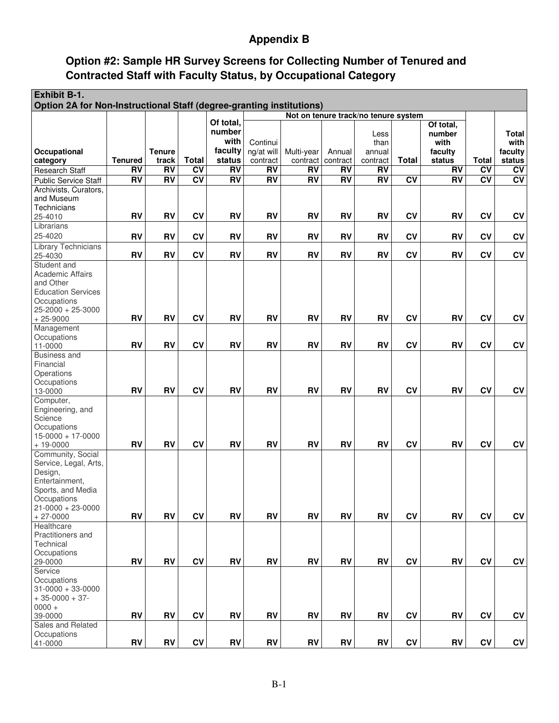# **Appendix B**

# **Option #2: Sample HR Survey Screens for Collecting Number of Tenured and Contracted Staff with Faculty Status, by Occupational Category**

| Option 2A for Non-Instructional Staff (degree-granting institutions)<br>Not on tenure track/no tenure system                              |                        |                        |
|-------------------------------------------------------------------------------------------------------------------------------------------|------------------------|------------------------|
|                                                                                                                                           |                        |                        |
| Of total.<br>Of total,                                                                                                                    |                        |                        |
| number<br>number<br>Less                                                                                                                  |                        | Total                  |
| with<br>Continui<br>with<br>than                                                                                                          |                        | with                   |
| faculty<br>Occupational<br><b>Tenure</b><br>ng/at will<br>Multi-year<br>Annual<br>faculty<br>annual                                       |                        | faculty                |
| Total<br>status<br><b>Total</b><br><b>Tenured</b><br>track<br>status<br>category<br>contract<br>contract   contract<br>contract           | <b>Total</b>           | status                 |
| RV<br>RV<br><b>RV</b><br>C <sub>V</sub><br><b>RV</b><br>RV<br><b>RV</b><br>RV<br><b>RV</b><br><b>Research Staff</b>                       | $\overline{CV}$        | <b>CV</b>              |
| RV<br>RV<br>$\overline{CV}$<br>RV<br>RV<br>RV<br>RV<br>$\overline{RV}$<br>$\overline{CV}$<br>$\overline{RV}$<br>Public Service Staff      | $\overline{\text{cv}}$ | $\overline{\text{cv}}$ |
| Archivists, Curators,<br>and Museum                                                                                                       |                        |                        |
| Technicians                                                                                                                               |                        |                        |
| <b>RV</b><br><b>RV</b><br><b>CV</b><br>RV<br><b>RV</b><br><b>RV</b><br><b>RV</b><br><b>CV</b><br><b>RV</b><br><b>RV</b><br>25-4010        | CV                     | CV                     |
| Librarians                                                                                                                                |                        |                        |
| 25-4020<br><b>RV</b><br><b>RV</b><br><b>CV</b><br><b>RV</b><br><b>RV</b><br><b>RV</b><br><b>RV</b><br><b>RV</b><br>CV<br><b>RV</b>        | <b>CV</b>              | CV                     |
| <b>Library Technicians</b>                                                                                                                |                        |                        |
| CV<br><b>RV</b><br><b>RV</b><br><b>RV</b><br><b>RV</b><br>CV<br><b>RV</b><br><b>RV</b><br><b>RV</b><br><b>RV</b><br>25-4030               | CV                     | CV                     |
| Student and                                                                                                                               |                        |                        |
| <b>Academic Affairs</b>                                                                                                                   |                        |                        |
| and Other                                                                                                                                 |                        |                        |
| <b>Education Services</b>                                                                                                                 |                        |                        |
| Occupations<br>$25 - 2000 + 25 - 3000$                                                                                                    |                        |                        |
| <b>RV</b><br><b>RV</b><br>CV<br><b>RV</b><br><b>RV</b><br>CV<br><b>RV</b><br><b>RV</b><br><b>RV</b><br><b>RV</b><br>$+25-9000$            | CV                     | CV                     |
| Management                                                                                                                                |                        |                        |
| Occupations                                                                                                                               |                        |                        |
| <b>RV</b><br><b>CV</b><br><b>RV</b><br><b>RV</b><br><b>RV</b><br><b>RV</b><br><b>RV</b><br><b>CV</b><br><b>RV</b><br><b>RV</b><br>11-0000 | CV                     | CV                     |
| <b>Business and</b>                                                                                                                       |                        |                        |
| Financial                                                                                                                                 |                        |                        |
| Operations                                                                                                                                |                        |                        |
| Occupations<br>CV<br><b>RV</b><br>RV<br><b>RV</b><br>CV<br><b>RV</b><br><b>RV</b><br><b>RV</b><br><b>RV</b><br>RV<br>13-0000              | CV                     | CV                     |
| Computer,                                                                                                                                 |                        |                        |
| Engineering, and                                                                                                                          |                        |                        |
| Science                                                                                                                                   |                        |                        |
| Occupations                                                                                                                               |                        |                        |
| $15 - 0000 + 17 - 0000$                                                                                                                   |                        |                        |
| RV<br><b>RV</b><br><b>RV</b><br>CV<br><b>RV</b><br><b>RV</b><br><b>RV</b><br><b>RV</b><br><b>CV</b><br><b>RV</b><br>$+ 19 - 0000$         | CV                     | CV                     |
| Community, Social<br>Service, Legal, Arts,                                                                                                |                        |                        |
| Design,                                                                                                                                   |                        |                        |
| Entertainment,                                                                                                                            |                        |                        |
| Sports, and Media                                                                                                                         |                        |                        |
| Occupations                                                                                                                               |                        |                        |
| $21 - 0000 + 23 - 0000$                                                                                                                   |                        |                        |
| <b>RV</b><br><b>RV</b><br><b>CV</b><br><b>RV</b><br>RV<br><b>RV</b><br><b>RV</b><br><b>RV</b><br><b>CV</b><br>RV<br>$+27-0000$            | CV                     | CV                     |
| Healthcare                                                                                                                                |                        |                        |
| Practitioners and<br>Technical                                                                                                            |                        |                        |
| Occupations                                                                                                                               |                        |                        |
| <b>RV</b><br><b>CV</b><br>RV<br><b>RV</b><br>RV<br><b>CV</b><br><b>RV</b><br><b>RV</b><br>RV<br><b>RV</b><br>29-0000                      | <b>CV</b>              | CV                     |
| Service                                                                                                                                   |                        |                        |
| Occupations                                                                                                                               |                        |                        |
| $31 - 0000 + 33 - 0000$                                                                                                                   |                        |                        |
| $+35-0000+37-$                                                                                                                            |                        |                        |
| $0000 +$<br>CV<br>RV<br>RV<br><b>RV</b><br><b>RV</b><br><b>RV</b><br><b>RV</b><br><b>RV</b><br>CV<br>RV                                   |                        | CV                     |
| 39-0000<br>Sales and Related                                                                                                              | CV                     |                        |
| Occupations                                                                                                                               |                        |                        |
| RV<br><b>RV</b><br>CV<br><b>RV</b><br><b>RV</b><br><b>RV</b><br>RV<br><b>RV</b><br><b>CV</b><br><b>RV</b><br>41-0000                      | C <sub>V</sub>         | <b>CV</b>              |